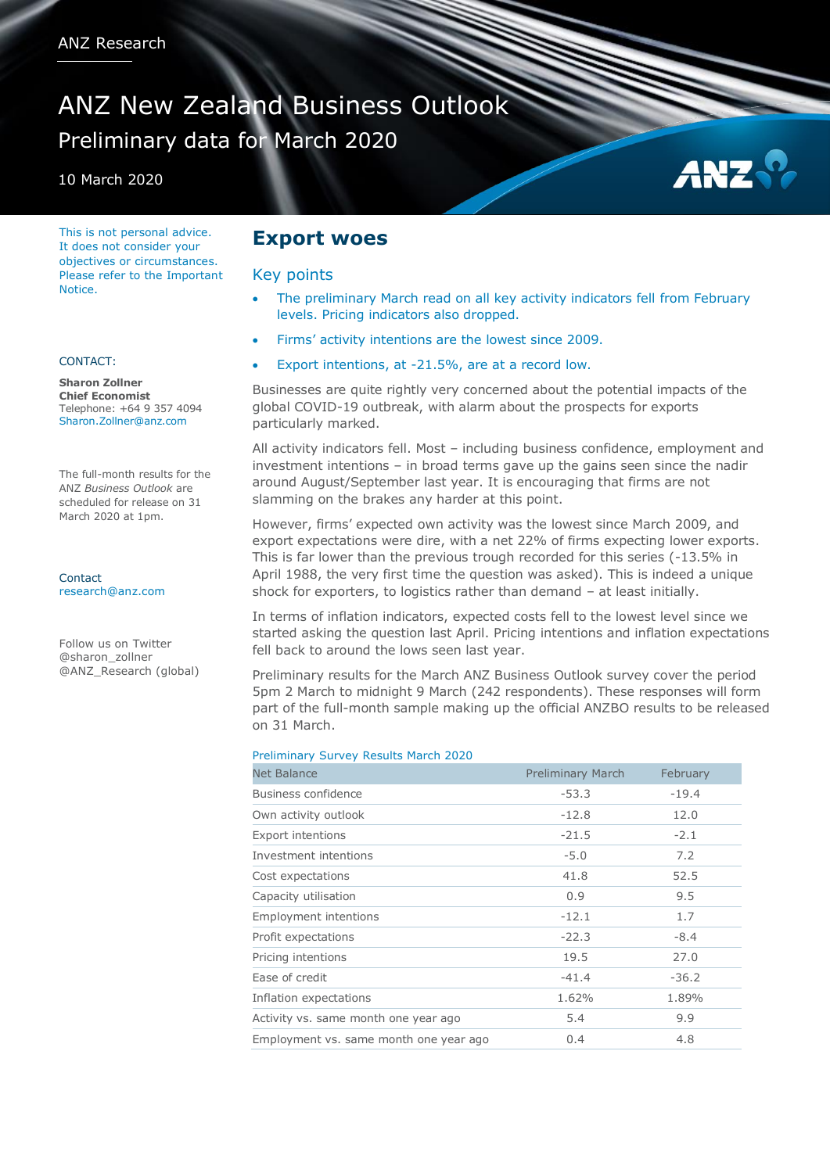# ANZ New Zealand Business Outlook Preliminary data for March 2020

10 March 2020

This is not personal advice. It does not consider your objectives or circumstances. Please refer to the Important **Notice** 

#### CONTACT:

**Sharon Zollner Chief Economist** Telephone: +64 9 357 4094 Sharon.Zollner@anz.com

The full-month results for the ANZ *Business Outlook* are scheduled for release on 31 March 2020 at 1pm.

**Contact** [research@anz.com](mailto:research@anz.com)

Follow us on Twitter @sharon\_zollner @ANZ\_Research (global)

### **Export woes**

#### Key points

 The preliminary March read on all key activity indicators fell from February levels. Pricing indicators also dropped.

AN:

- Firms' activity intentions are the lowest since 2009.
- Export intentions, at -21.5%, are at a record low.

Businesses are quite rightly very concerned about the potential impacts of the global COVID-19 outbreak, with alarm about the prospects for exports particularly marked.

All activity indicators fell. Most – including business confidence, employment and investment intentions – in broad terms gave up the gains seen since the nadir around August/September last year. It is encouraging that firms are not slamming on the brakes any harder at this point.

However, firms' expected own activity was the lowest since March 2009, and export expectations were dire, with a net 22% of firms expecting lower exports. This is far lower than the previous trough recorded for this series (-13.5% in April 1988, the very first time the question was asked). This is indeed a unique shock for exporters, to logistics rather than demand – at least initially.

In terms of inflation indicators, expected costs fell to the lowest level since we started asking the question last April. Pricing intentions and inflation expectations fell back to around the lows seen last year.

Preliminary results for the March ANZ Business Outlook survey cover the period 5pm 2 March to midnight 9 March (242 respondents). These responses will form part of the full-month sample making up the official ANZBO results to be released on 31 March.

#### Preliminary Survey Results March 2020

| <b>Net Balance</b>                     | <b>Preliminary March</b> | February |
|----------------------------------------|--------------------------|----------|
| Business confidence                    | $-53.3$                  | $-19.4$  |
| Own activity outlook                   | $-12.8$                  | 12.0     |
| <b>Export intentions</b>               | $-21.5$                  | $-2.1$   |
| Investment intentions                  | $-5.0$                   | 7.2      |
| Cost expectations                      | 41.8                     | 52.5     |
| Capacity utilisation                   | 0.9                      | 9.5      |
| <b>Employment intentions</b>           | $-12.1$                  | 1.7      |
| Profit expectations                    | $-22.3$                  | $-8.4$   |
| Pricing intentions                     | 19.5                     | 27.0     |
| Ease of credit                         | $-41.4$                  | $-36.2$  |
| Inflation expectations                 | 1.62%                    | 1.89%    |
| Activity vs. same month one year ago   | 5.4                      | 9.9      |
| Employment vs. same month one year ago | 0.4                      | 4.8      |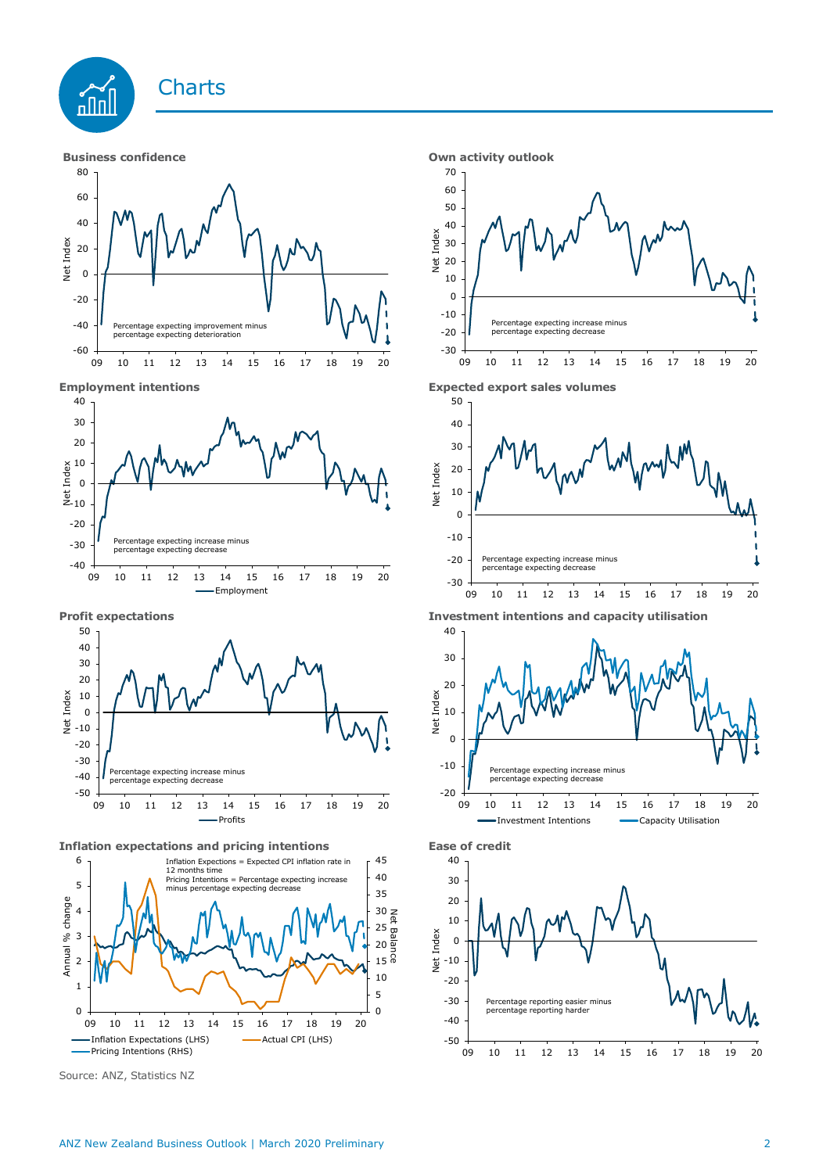





Source: ANZ, Statistics NZ









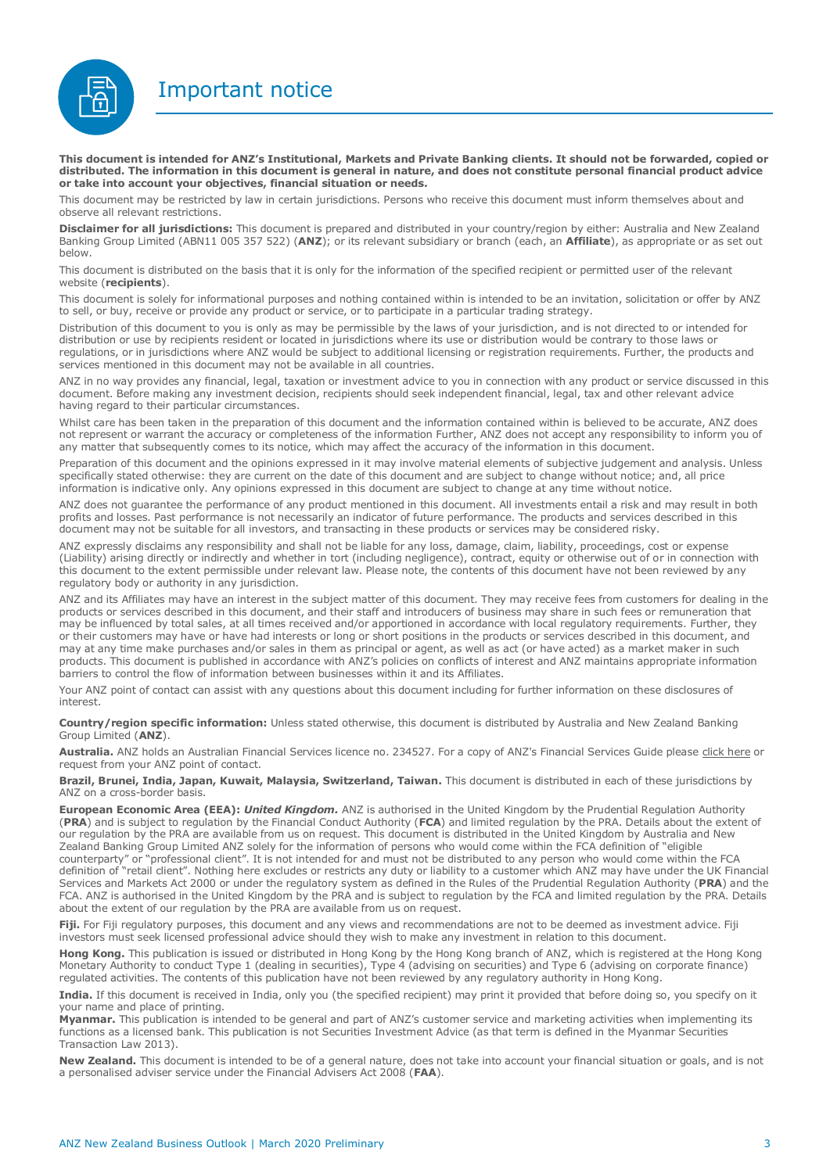Important notice



**This document is intended for ANZ's Institutional, Markets and Private Banking clients. It should not be forwarded, copied or distributed. The information in this document is general in nature, and does not constitute personal financial product advice or take into account your objectives, financial situation or needs.** 

This document may be restricted by law in certain jurisdictions. Persons who receive this document must inform themselves about and observe all relevant restrictions.

**Disclaimer for all jurisdictions:** This document is prepared and distributed in your country/region by either: Australia and New Zealand Banking Group Limited (ABN11 005 357 522) (**ANZ**); or its relevant subsidiary or branch (each, an **Affiliate**), as appropriate or as set out below.

This document is distributed on the basis that it is only for the information of the specified recipient or permitted user of the relevant website (**recipients**).

This document is solely for informational purposes and nothing contained within is intended to be an invitation, solicitation or offer by ANZ to sell, or buy, receive or provide any product or service, or to participate in a particular trading strategy.

Distribution of this document to you is only as may be permissible by the laws of your jurisdiction, and is not directed to or intended for distribution or use by recipients resident or located in jurisdictions where its use or distribution would be contrary to those laws or regulations, or in jurisdictions where ANZ would be subject to additional licensing or registration requirements. Further, the products and services mentioned in this document may not be available in all countries.

ANZ in no way provides any financial, legal, taxation or investment advice to you in connection with any product or service discussed in this document. Before making any investment decision, recipients should seek independent financial, legal, tax and other relevant advice having regard to their particular circumstances.

Whilst care has been taken in the preparation of this document and the information contained within is believed to be accurate, ANZ does not represent or warrant the accuracy or completeness of the information Further, ANZ does not accept any responsibility to inform you of any matter that subsequently comes to its notice, which may affect the accuracy of the information in this document.

Preparation of this document and the opinions expressed in it may involve material elements of subjective judgement and analysis. Unless specifically stated otherwise: they are current on the date of this document and are subject to change without notice; and, all price information is indicative only. Any opinions expressed in this document are subject to change at any time without notice.

ANZ does not guarantee the performance of any product mentioned in this document. All investments entail a risk and may result in both profits and losses. Past performance is not necessarily an indicator of future performance. The products and services described in this document may not be suitable for all investors, and transacting in these products or services may be considered risky.

ANZ expressly disclaims any responsibility and shall not be liable for any loss, damage, claim, liability, proceedings, cost or expense (Liability) arising directly or indirectly and whether in tort (including negligence), contract, equity or otherwise out of or in connection with this document to the extent permissible under relevant law. Please note, the contents of this document have not been reviewed by any regulatory body or authority in any jurisdiction.

ANZ and its Affiliates may have an interest in the subject matter of this document. They may receive fees from customers for dealing in the products or services described in this document, and their staff and introducers of business may share in such fees or remuneration that may be influenced by total sales, at all times received and/or apportioned in accordance with local regulatory requirements. Further, they or their customers may have or have had interests or long or short positions in the products or services described in this document, and may at any time make purchases and/or sales in them as principal or agent, as well as act (or have acted) as a market maker in such products. This document is published in accordance with ANZ's policies on conflicts of interest and ANZ maintains appropriate information barriers to control the flow of information between businesses within it and its Affiliates.

Your ANZ point of contact can assist with any questions about this document including for further information on these disclosures of interest.

**Country/region specific information:** Unless stated otherwise, this document is distributed by Australia and New Zealand Banking Group Limited (**ANZ**).

Australia. ANZ holds an Australian Financial Services licence no. 234527. For a copy of ANZ's Financial Services Guide please [click here](http://www.anz.com/documents/AU/aboutANZ/FinancialServicesGuide.pdf) or request from your ANZ point of contact.

**Brazil, Brunei, India, Japan, Kuwait, Malaysia, Switzerland, Taiwan.** This document is distributed in each of these jurisdictions by ANZ on a cross-border basis.

**European Economic Area (EEA):** *United Kingdom.* ANZ is authorised in the United Kingdom by the Prudential Regulation Authority (**PRA**) and is subject to regulation by the Financial Conduct Authority (**FCA**) and limited regulation by the PRA. Details about the extent of our regulation by the PRA are available from us on request. This document is distributed in the United Kingdom by Australia and New Zealand Banking Group Limited ANZ solely for the information of persons who would come within the FCA definition of "eligible counterparty" or "professional client". It is not intended for and must not be distributed to any person who would come within the FCA definition of "retail client". Nothing here excludes or restricts any duty or liability to a customer which ANZ may have under the UK Financial Services and Markets Act 2000 or under the regulatory system as defined in the Rules of the Prudential Regulation Authority (**PRA**) and the FCA. ANZ is authorised in the United Kingdom by the PRA and is subject to regulation by the FCA and limited regulation by the PRA. Details about the extent of our regulation by the PRA are available from us on request.

Fiji. For Fiji regulatory purposes, this document and any views and recommendations are not to be deemed as investment advice. Fiji investors must seek licensed professional advice should they wish to make any investment in relation to this document.

**Hong Kong.** This publication is issued or distributed in Hong Kong by the Hong Kong branch of ANZ, which is registered at the Hong Kong Monetary Authority to conduct Type 1 (dealing in securities), Type 4 (advising on securities) and Type 6 (advising on corporate finance) regulated activities. The contents of this publication have not been reviewed by any regulatory authority in Hong Kong.

**India.** If this document is received in India, only you (the specified recipient) may print it provided that before doing so, you specify on it your name and place of printing.

**Myanmar.** This publication is intended to be general and part of ANZ's customer service and marketing activities when implementing its functions as a licensed bank. This publication is not Securities Investment Advice (as that term is defined in the Myanmar Securities Transaction Law 2013).

**New Zealand.** This document is intended to be of a general nature, does not take into account your financial situation or goals, and is not a personalised adviser service under the Financial Advisers Act 2008 (**FAA**).